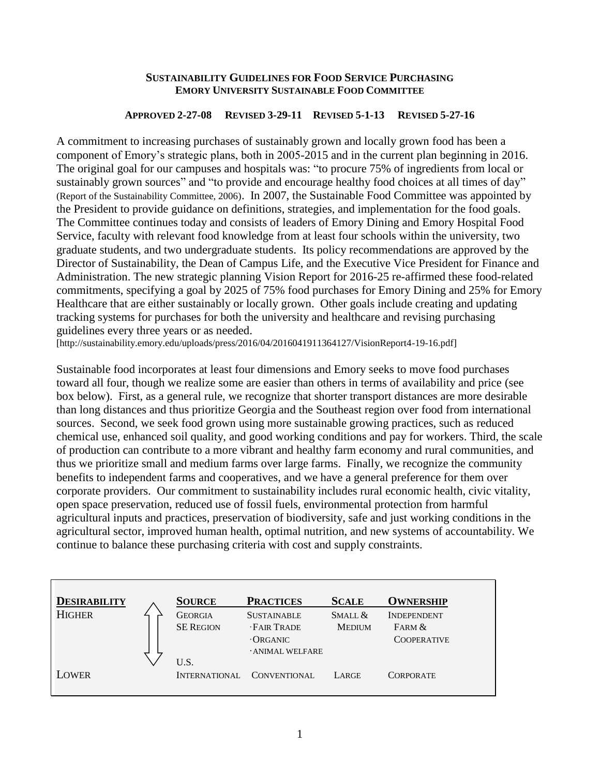#### **SUSTAINABILITY GUIDELINES FOR FOOD SERVICE PURCHASING EMORY UNIVERSITY SUSTAINABLE FOOD COMMITTEE**

#### **APPROVED 2-27-08 REVISED 3-29-11 REVISED 5-1-13 REVISED 5-27-16**

A commitment to increasing purchases of sustainably grown and locally grown food has been a component of Emory's strategic plans, both in 2005-2015 and in the current plan beginning in 2016. The original goal for our campuses and hospitals was: "to procure 75% of ingredients from local or sustainably grown sources" and "to provide and encourage healthy food choices at all times of day" (Report of the Sustainability Committee, 2006). In 2007, the Sustainable Food Committee was appointed by the President to provide guidance on definitions, strategies, and implementation for the food goals. The Committee continues today and consists of leaders of Emory Dining and Emory Hospital Food Service, faculty with relevant food knowledge from at least four schools within the university, two graduate students, and two undergraduate students. Its policy recommendations are approved by the Director of Sustainability, the Dean of Campus Life, and the Executive Vice President for Finance and Administration. The new strategic planning Vision Report for 2016-25 re-affirmed these food-related commitments, specifying a goal by 2025 of 75% food purchases for Emory Dining and 25% for Emory Healthcare that are either sustainably or locally grown. Other goals include creating and updating tracking systems for purchases for both the university and healthcare and revising purchasing guidelines every three years or as needed.

[http://sustainability.emory.edu/uploads/press/2016/04/2016041911364127/VisionReport4-19-16.pdf]

Sustainable food incorporates at least four dimensions and Emory seeks to move food purchases toward all four, though we realize some are easier than others in terms of availability and price (see box below). First, as a general rule, we recognize that shorter transport distances are more desirable than long distances and thus prioritize Georgia and the Southeast region over food from international sources. Second, we seek food grown using more sustainable growing practices, such as reduced chemical use, enhanced soil quality, and good working conditions and pay for workers. Third, the scale of production can contribute to a more vibrant and healthy farm economy and rural communities, and thus we prioritize small and medium farms over large farms. Finally, we recognize the community benefits to independent farms and cooperatives, and we have a general preference for them over corporate providers. Our commitment to sustainability includes rural economic health, civic vitality, open space preservation, reduced use of fossil fuels, environmental protection from harmful agricultural inputs and practices, preservation of biodiversity, safe and just working conditions in the agricultural sector, improved human health, optimal nutrition, and new systems of accountability. We continue to balance these purchasing criteria with cost and supply constraints.

| <b>DESIRABILITY</b> | <b>SOURCE</b>    | <b>PRACTICES</b>   | <b>SCALE</b>  | <b>OWNERSHIP</b>   |
|---------------------|------------------|--------------------|---------------|--------------------|
| <b>HIGHER</b>       | <b>GEORGIA</b>   | <b>SUSTAINABLE</b> | SMALL &       | <b>INDEPENDENT</b> |
|                     | <b>SE REGION</b> | <b>FAIR TRADE</b>  | <b>MEDIUM</b> | FARM &             |
|                     |                  | $\cdot$ ORGANIC    |               | <b>COOPERATIVE</b> |
|                     |                  | · ANIMAL WELFARE   |               |                    |
|                     | U.S.             |                    |               |                    |
| LOWER               | INTERNATIONAL    | CONVENTIONAL       | LARGE         | <b>CORPORATE</b>   |
|                     |                  |                    |               |                    |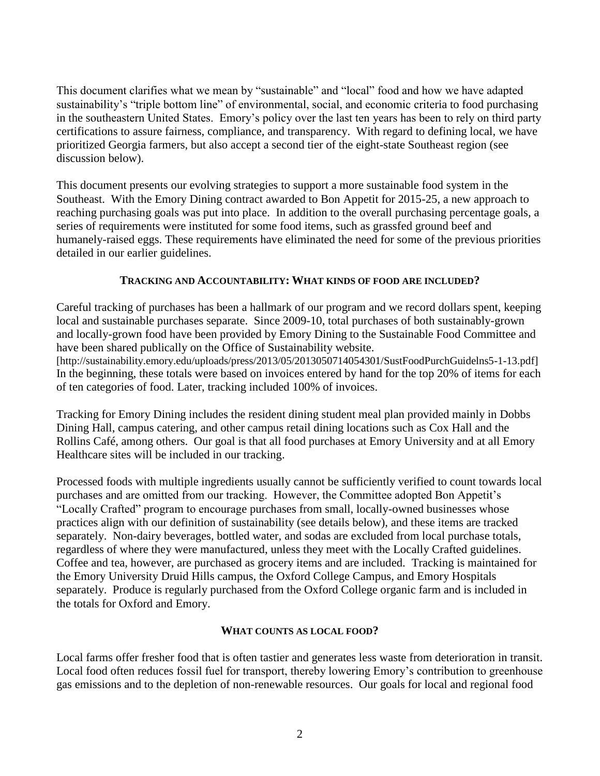This document clarifies what we mean by "sustainable" and "local" food and how we have adapted sustainability's "triple bottom line" of environmental, social, and economic criteria to food purchasing in the southeastern United States. Emory's policy over the last ten years has been to rely on third party certifications to assure fairness, compliance, and transparency. With regard to defining local, we have prioritized Georgia farmers, but also accept a second tier of the eight-state Southeast region (see discussion below).

This document presents our evolving strategies to support a more sustainable food system in the Southeast. With the Emory Dining contract awarded to Bon Appetit for 2015-25, a new approach to reaching purchasing goals was put into place. In addition to the overall purchasing percentage goals, a series of requirements were instituted for some food items, such as grassfed ground beef and humanely-raised eggs. These requirements have eliminated the need for some of the previous priorities detailed in our earlier guidelines.

### **TRACKING AND ACCOUNTABILITY: WHAT KINDS OF FOOD ARE INCLUDED?**

Careful tracking of purchases has been a hallmark of our program and we record dollars spent, keeping local and sustainable purchases separate. Since 2009-10, total purchases of both sustainably-grown and locally-grown food have been provided by Emory Dining to the Sustainable Food Committee and have been shared publically on the Office of Sustainability website.

[http://sustainability.emory.edu/uploads/press/2013/05/2013050714054301/SustFoodPurchGuidelns5-1-13.pdf] In the beginning, these totals were based on invoices entered by hand for the top 20% of items for each of ten categories of food. Later, tracking included 100% of invoices.

Tracking for Emory Dining includes the resident dining student meal plan provided mainly in Dobbs Dining Hall, campus catering, and other campus retail dining locations such as Cox Hall and the Rollins Café, among others. Our goal is that all food purchases at Emory University and at all Emory Healthcare sites will be included in our tracking.

Processed foods with multiple ingredients usually cannot be sufficiently verified to count towards local purchases and are omitted from our tracking. However, the Committee adopted Bon Appetit's "Locally Crafted" program to encourage purchases from small, locally-owned businesses whose practices align with our definition of sustainability (see details below), and these items are tracked separately. Non-dairy beverages, bottled water, and sodas are excluded from local purchase totals, regardless of where they were manufactured, unless they meet with the Locally Crafted guidelines. Coffee and tea, however, are purchased as grocery items and are included. Tracking is maintained for the Emory University Druid Hills campus, the Oxford College Campus, and Emory Hospitals separately. Produce is regularly purchased from the Oxford College organic farm and is included in the totals for Oxford and Emory.

### **WHAT COUNTS AS LOCAL FOOD?**

Local farms offer fresher food that is often tastier and generates less waste from deterioration in transit. Local food often reduces fossil fuel for transport, thereby lowering Emory's contribution to greenhouse gas emissions and to the depletion of non-renewable resources. Our goals for local and regional food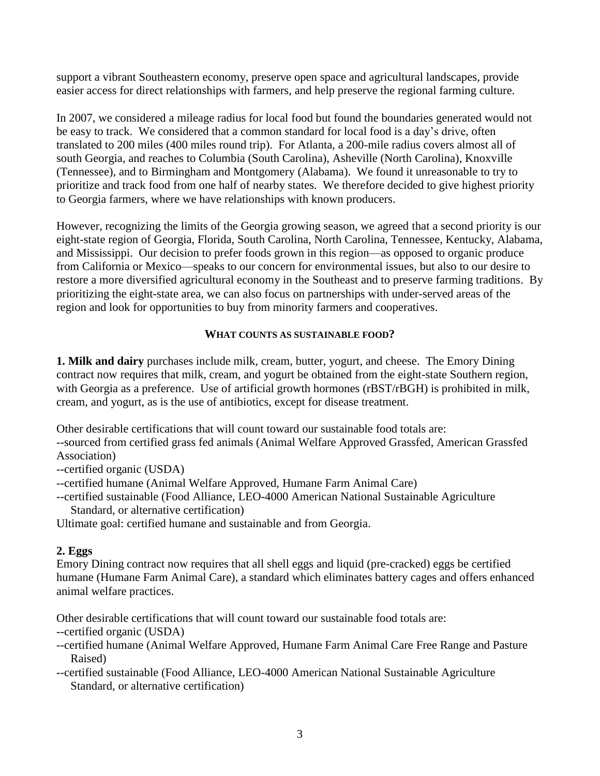support a vibrant Southeastern economy, preserve open space and agricultural landscapes, provide easier access for direct relationships with farmers, and help preserve the regional farming culture.

In 2007, we considered a mileage radius for local food but found the boundaries generated would not be easy to track. We considered that a common standard for local food is a day's drive, often translated to 200 miles (400 miles round trip). For Atlanta, a 200-mile radius covers almost all of south Georgia, and reaches to Columbia (South Carolina), Asheville (North Carolina), Knoxville (Tennessee), and to Birmingham and Montgomery (Alabama). We found it unreasonable to try to prioritize and track food from one half of nearby states. We therefore decided to give highest priority to Georgia farmers, where we have relationships with known producers.

However, recognizing the limits of the Georgia growing season, we agreed that a second priority is our eight-state region of Georgia, Florida, South Carolina, North Carolina, Tennessee, Kentucky, Alabama, and Mississippi. Our decision to prefer foods grown in this region—as opposed to organic produce from California or Mexico—speaks to our concern for environmental issues, but also to our desire to restore a more diversified agricultural economy in the Southeast and to preserve farming traditions. By prioritizing the eight-state area, we can also focus on partnerships with under-served areas of the region and look for opportunities to buy from minority farmers and cooperatives.

## **WHAT COUNTS AS SUSTAINABLE FOOD?**

**1. Milk and dairy** purchases include milk, cream, butter, yogurt, and cheese. The Emory Dining contract now requires that milk, cream, and yogurt be obtained from the eight-state Southern region, with Georgia as a preference. Use of artificial growth hormones (rBST/rBGH) is prohibited in milk, cream, and yogurt, as is the use of antibiotics, except for disease treatment.

Other desirable certifications that will count toward our sustainable food totals are:

--sourced from certified grass fed animals (Animal Welfare Approved Grassfed, American Grassfed Association)

--certified organic (USDA)

--certified humane (Animal Welfare Approved, Humane Farm Animal Care)

--certified sustainable (Food Alliance, LEO-4000 American National Sustainable Agriculture Standard, or alternative certification)

Ultimate goal: certified humane and sustainable and from Georgia.

### **2. Eggs**

Emory Dining contract now requires that all shell eggs and liquid (pre-cracked) eggs be certified humane (Humane Farm Animal Care), a standard which eliminates battery cages and offers enhanced animal welfare practices.

Other desirable certifications that will count toward our sustainable food totals are:

--certified organic (USDA)

--certified humane (Animal Welfare Approved, Humane Farm Animal Care Free Range and Pasture Raised)

--certified sustainable (Food Alliance, LEO-4000 American National Sustainable Agriculture Standard, or alternative certification)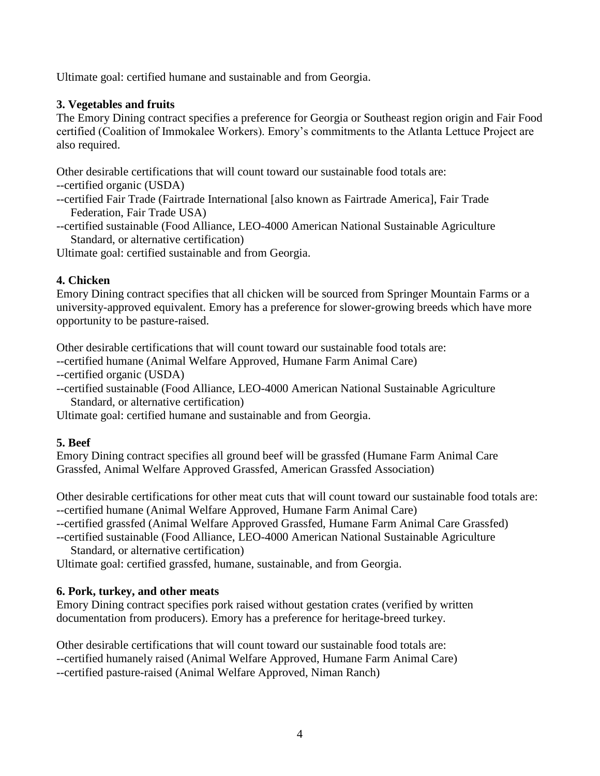Ultimate goal: certified humane and sustainable and from Georgia.

## **3. Vegetables and fruits**

The Emory Dining contract specifies a preference for Georgia or Southeast region origin and Fair Food certified (Coalition of Immokalee Workers). Emory's commitments to the Atlanta Lettuce Project are also required.

Other desirable certifications that will count toward our sustainable food totals are:

--certified organic (USDA)

- --certified Fair Trade (Fairtrade International [also known as Fairtrade America], Fair Trade Federation, Fair Trade USA)
- --certified sustainable (Food Alliance, LEO-4000 American National Sustainable Agriculture Standard, or alternative certification)

Ultimate goal: certified sustainable and from Georgia.

# **4. Chicken**

Emory Dining contract specifies that all chicken will be sourced from Springer Mountain Farms or a university-approved equivalent. Emory has a preference for slower-growing breeds which have more opportunity to be pasture-raised.

Other desirable certifications that will count toward our sustainable food totals are:

--certified humane (Animal Welfare Approved, Humane Farm Animal Care)

--certified organic (USDA)

--certified sustainable (Food Alliance, LEO-4000 American National Sustainable Agriculture Standard, or alternative certification)

Ultimate goal: certified humane and sustainable and from Georgia.

## **5. Beef**

Emory Dining contract specifies all ground beef will be grassfed (Humane Farm Animal Care Grassfed, Animal Welfare Approved Grassfed, American Grassfed Association)

Other desirable certifications for other meat cuts that will count toward our sustainable food totals are: --certified humane (Animal Welfare Approved, Humane Farm Animal Care)

--certified grassfed (Animal Welfare Approved Grassfed, Humane Farm Animal Care Grassfed)

--certified sustainable (Food Alliance, LEO-4000 American National Sustainable Agriculture Standard, or alternative certification)

Ultimate goal: certified grassfed, humane, sustainable, and from Georgia.

## **6. Pork, turkey, and other meats**

Emory Dining contract specifies pork raised without gestation crates (verified by written documentation from producers). Emory has a preference for heritage-breed turkey.

Other desirable certifications that will count toward our sustainable food totals are: --certified humanely raised (Animal Welfare Approved, Humane Farm Animal Care) --certified pasture-raised (Animal Welfare Approved, Niman Ranch)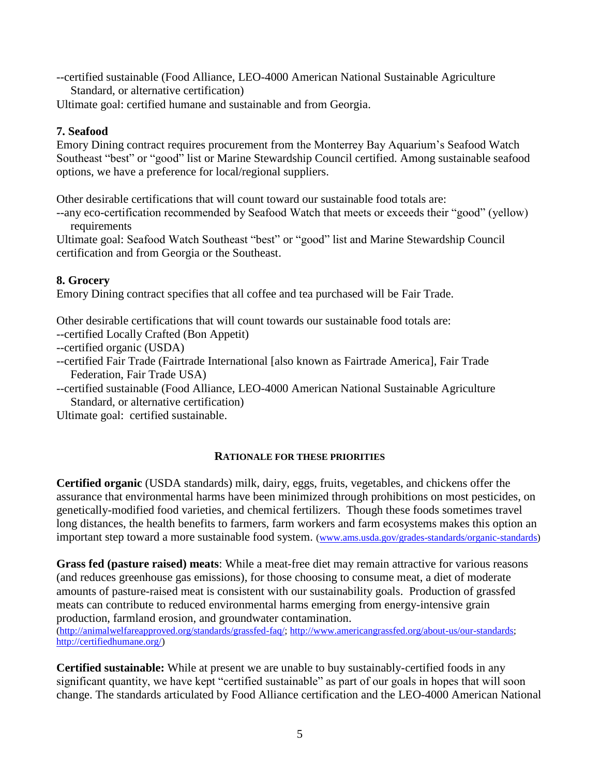--certified sustainable (Food Alliance, LEO-4000 American National Sustainable Agriculture Standard, or alternative certification)

Ultimate goal: certified humane and sustainable and from Georgia.

# **7. Seafood**

Emory Dining contract requires procurement from the Monterrey Bay Aquarium's Seafood Watch Southeast "best" or "good" list or Marine Stewardship Council certified. Among sustainable seafood options, we have a preference for local/regional suppliers.

Other desirable certifications that will count toward our sustainable food totals are:

--any eco-certification recommended by Seafood Watch that meets or exceeds their "good" (yellow) requirements

Ultimate goal: Seafood Watch Southeast "best" or "good" list and Marine Stewardship Council certification and from Georgia or the Southeast.

# **8. Grocery**

Emory Dining contract specifies that all coffee and tea purchased will be Fair Trade.

Other desirable certifications that will count towards our sustainable food totals are:

--certified Locally Crafted (Bon Appetit)

--certified organic (USDA)

--certified Fair Trade (Fairtrade International [also known as Fairtrade America], Fair Trade Federation, Fair Trade USA)

--certified sustainable (Food Alliance, LEO-4000 American National Sustainable Agriculture Standard, or alternative certification)

Ultimate goal: certified sustainable.

# **RATIONALE FOR THESE PRIORITIES**

**Certified organic** (USDA standards) milk, dairy, eggs, fruits, vegetables, and chickens offer the assurance that environmental harms have been minimized through prohibitions on most pesticides, on genetically-modified food varieties, and chemical fertilizers. Though these foods sometimes travel long distances, the health benefits to farmers, farm workers and farm ecosystems makes this option an important step toward a more sustainable food system. [\(www.ams.usda.gov/grades-standards/organic-standards\)](http://www.ams.usda.gov/grades-standards/organic-standards)

**Grass fed (pasture raised) meats**: While a meat-free diet may remain attractive for various reasons (and reduces greenhouse gas emissions), for those choosing to consume meat, a diet of moderate amounts of pasture-raised meat is consistent with our sustainability goals. Production of grassfed meats can contribute to reduced environmental harms emerging from energy-intensive grain production, farmland erosion, and groundwater contamination.

[\(http://animalwelfareapproved.org/standards/grassfed-faq/;](http://animalwelfareapproved.org/standards/grassfed-faq/) [http://www.americangrassfed.org/about-us/our-standards;](http://www.americangrassfed.org/about-us/our-standards) [http://certifiedhumane.org/\)](http://certifiedhumane.org/)

**Certified sustainable:** While at present we are unable to buy sustainably-certified foods in any significant quantity, we have kept "certified sustainable" as part of our goals in hopes that will soon change. The standards articulated by Food Alliance certification and the LEO-4000 American National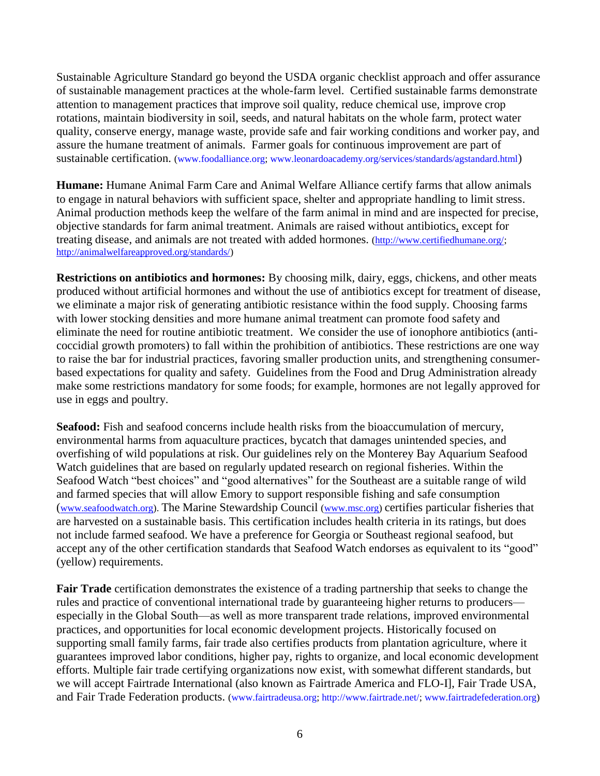Sustainable Agriculture Standard go beyond the USDA organic checklist approach and offer assurance of sustainable management practices at the whole-farm level. Certified sustainable farms demonstrate attention to management practices that improve soil quality, reduce chemical use, improve crop rotations, maintain biodiversity in soil, seeds, and natural habitats on the whole farm, protect water quality, conserve energy, manage waste, provide safe and fair working conditions and worker pay, and assure the humane treatment of animals. Farmer goals for continuous improvement are part of sustainable certification. [\(www.foodalliance.org;](http://www.foodalliance.org/) [www.leonardoacademy.org/services/standards/agstandard.html](http://www.leonardoacademy.org/services/standards/agstandard.html))

**Humane:** Humane Animal Farm Care and Animal Welfare Alliance certify farms that allow animals to engage in natural behaviors with sufficient space, shelter and appropriate handling to limit stress. Animal production methods keep the welfare of the farm animal in mind and are inspected for precise, objective standards for farm animal treatment. Animals are raised without antibiotics, except for treating disease, and animals are not treated with added hormones. [\(http://www.certifiedhumane.org/;](http://www.certifiedhumane.org/) [http://animalwelfareapproved.org/standards/\)](http://animalwelfareapproved.org/standards/)

**Restrictions on antibiotics and hormones:** By choosing milk, dairy, eggs, chickens, and other meats produced without artificial hormones and without the use of antibiotics except for treatment of disease, we eliminate a major risk of generating antibiotic resistance within the food supply. Choosing farms with lower stocking densities and more humane animal treatment can promote food safety and eliminate the need for routine antibiotic treatment. We consider the use of ionophore antibiotics (anticoccidial growth promoters) to fall within the prohibition of antibiotics. These restrictions are one way to raise the bar for industrial practices, favoring smaller production units, and strengthening consumerbased expectations for quality and safety. Guidelines from the Food and Drug Administration already make some restrictions mandatory for some foods; for example, hormones are not legally approved for use in eggs and poultry.

**Seafood:** Fish and seafood concerns include health risks from the bioaccumulation of mercury, environmental harms from aquaculture practices, bycatch that damages unintended species, and overfishing of wild populations at risk. Our guidelines rely on the Monterey Bay Aquarium Seafood Watch guidelines that are based on regularly updated research on regional fisheries. Within the Seafood Watch "best choices" and "good alternatives" for the Southeast are a suitable range of wild and farmed species that will allow Emory to support responsible fishing and safe consumption ([www.seafoodwatch.org\)](http://www.seafoodwatch.org/). The Marine Stewardship Council [\(www.msc.org\)](http://www.msc.org/) certifies particular fisheries that are harvested on a sustainable basis. This certification includes health criteria in its ratings, but does not include farmed seafood. We have a preference for Georgia or Southeast regional seafood, but accept any of the other certification standards that Seafood Watch endorses as equivalent to its "good" (yellow) requirements.

**Fair Trade** certification demonstrates the existence of a trading partnership that seeks to change the rules and practice of conventional international trade by guaranteeing higher returns to producers especially in the Global South—as well as more transparent trade relations, improved environmental practices, and opportunities for local economic development projects. Historically focused on supporting small family farms, fair trade also certifies products from plantation agriculture, where it guarantees improved labor conditions, higher pay, rights to organize, and local economic development efforts. Multiple fair trade certifying organizations now exist, with somewhat different standards, but we will accept Fairtrade International (also known as Fairtrade America and FLO-I], Fair Trade USA, and Fair Trade Federation products. [\(www.fairtradeusa.org;](http://www.fairtradeusa.org/) [http://www.fairtrade.net/;](http://www.fairtrade.net/) [www.fairtradefederation.org\)](http://www.fairtradefederation.org/)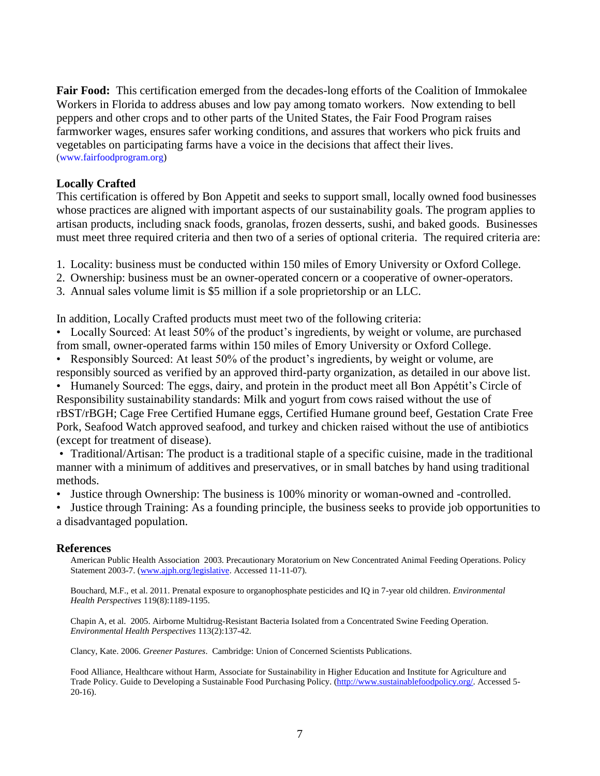**Fair Food:** This certification emerged from the decades-long efforts of the Coalition of Immokalee Workers in Florida to address abuses and low pay among tomato workers. Now extending to bell peppers and other crops and to other parts of the United States, the Fair Food Program raises farmworker wages, ensures safer working conditions, and assures that workers who pick fruits and vegetables on participating farms have a voice in the decisions that affect their lives. [\(www.fairfoodprogram.org\)](http://www.fairfoodprogram.org/)

### **Locally Crafted**

This certification is offered by Bon Appetit and seeks to support small, locally owned food businesses whose practices are aligned with important aspects of our sustainability goals. The program applies to artisan products, including snack foods, granolas, frozen desserts, sushi, and baked goods. Businesses must meet three required criteria and then two of a series of optional criteria. The required criteria are:

1. Locality: business must be conducted within 150 miles of Emory University or Oxford College.

- 2. Ownership: business must be an owner-operated concern or a cooperative of owner-operators.
- 3. Annual sales volume limit is \$5 million if a sole proprietorship or an LLC.

In addition, Locally Crafted products must meet two of the following criteria:

- Locally Sourced: At least 50% of the product's ingredients, by weight or volume, are purchased from small, owner-operated farms within 150 miles of Emory University or Oxford College.
- Responsibly Sourced: At least 50% of the product's ingredients, by weight or volume, are responsibly sourced as verified by an approved third-party organization, as detailed in our above list.

• Humanely Sourced: The eggs, dairy, and protein in the product meet all Bon Appétit's Circle of Responsibility sustainability standards: Milk and yogurt from cows raised without the use of rBST/rBGH; Cage Free Certified Humane eggs, Certified Humane ground beef, Gestation Crate Free Pork, Seafood Watch approved seafood, and turkey and chicken raised without the use of antibiotics (except for treatment of disease).

• Traditional/Artisan: The product is a traditional staple of a specific cuisine, made in the traditional manner with a minimum of additives and preservatives, or in small batches by hand using traditional methods.

• Justice through Ownership: The business is 100% minority or woman-owned and -controlled.

• Justice through Training: As a founding principle, the business seeks to provide job opportunities to a disadvantaged population.

#### **References**

American Public Health Association 2003. Precautionary Moratorium on New Concentrated Animal Feeding Operations. Policy Statement 2003-7. [\(www.ajph.org/legislative.](http://www.ajph.org/legislative) Accessed 11-11-07).

Bouchard, M.F., et al. 2011. Prenatal exposure to organophosphate pesticides and IQ in 7-year old children. *Environmental Health Perspectives* 119(8):1189-1195.

Chapin A, et al. 2005. Airborne Multidrug-Resistant Bacteria Isolated from a Concentrated Swine Feeding Operation. *Environmental Health Perspectives* 113(2):137-42.

Clancy, Kate. 2006. *Greener Pastures*. Cambridge: Union of Concerned Scientists Publications.

Food Alliance, Healthcare without Harm, Associate for Sustainability in Higher Education and Institute for Agriculture and Trade Policy. Guide to Developing a Sustainable Food Purchasing Policy. [\(http://www.sustainablefoodpolicy.org/.](http://www.sustainablefoodpolicy.org/) Accessed 5- 20-16).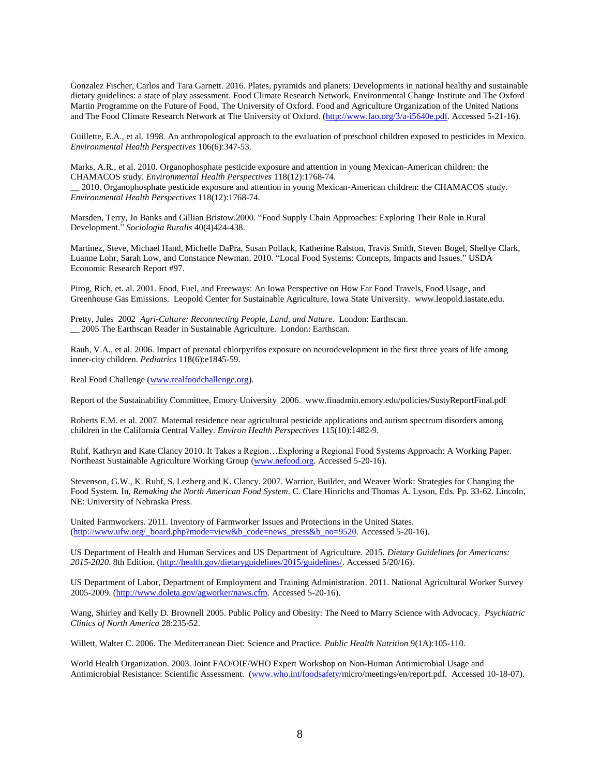Gonzalez Fischer, Carlos and Tara Garnett. 2016. Plates, pyramids and planets: Developments in national healthy and sustainable dietary guidelines: a state of play assessment. Food Climate Research Network, Environmental Change Institute and The Oxford Martin Programme on the Future of Food, The University of Oxford. Food and Agriculture Organization of the United Nations and The Food Climate Research Network at The University of Oxford. [\(http://www.fao.org/3/a-i5640e.pdf.](http://www.fao.org/3/a-i5640e.pdf) Accessed 5-21-16).

Guillette, E.A., et al. 1998. An anthropological approach to the evaluation of preschool children exposed to pesticides in Mexico. *Environmental Health Perspectives* 106(6):347-53.

Marks, A.R., et al. 2010. Organophosphate pesticide exposure and attention in young Mexican-American children: the CHAMACOS study. *Environmental Health Perspectives* 118(12):1768-74.

\_\_ 2010. Organophosphate pesticide exposure and attention in young Mexican-American children: the CHAMACOS study. *Environmental Health Perspectives* 118(12):1768-74.

Marsden, Terry, Jo Banks and Gillian Bristow.2000. "Food Supply Chain Approaches: Exploring Their Role in Rural Development." *Sociologia Ruralis* 40(4)424-438.

Martinez, Steve, Michael Hand, Michelle DaPra, Susan Pollack, Katherine Ralston, Travis Smith, Steven Bogel, Shellye Clark, Luanne Lohr, Sarah Low, and Constance Newman. 2010. "Local Food Systems: Concepts, Impacts and Issues." USDA Economic Research Report #97.

Pirog, Rich, et. al. 2001. Food, Fuel, and Freeways: An Iowa Perspective on How Far Food Travels, Food Usage, and Greenhouse Gas Emissions. Leopold Center for Sustainable Agriculture, Iowa State University. www.leopold.iastate.edu.

Pretty, Jules 2002 *Agri-Culture: Reconnecting People, Land, and Nature*. London: Earthscan. \_\_ 2005 The Earthscan Reader in Sustainable Agriculture. London: Earthscan.

Rauh, V.A., et al. 2006. Impact of prenatal chlorpyrifos exposure on neurodevelopment in the first three years of life among inner-city children. *Pediatrics* 118(6):e1845-59.

Real Food Challenge [\(www.realfoodchallenge.org\)](http://www.realfoodchallenge.org/).

Report of the Sustainability Committee, Emory University 2006. www.finadmin.emory.edu/policies/SustyReportFinal.pdf

Roberts E.M. et al. 2007. Maternal residence near agricultural pesticide applications and autism spectrum disorders among children in the California Central Valley. *Environ Health Perspectives* 115(10):1482-9.

Ruhf, Kathryn and Kate Clancy 2010. It Takes a Region…Exploring a Regional Food Systems Approach: A Working Paper. Northeast Sustainable Agriculture Working Group [\(www.nefood.org.](http://www.nefood.org/) Accessed 5-20-16).

Stevenson, G.W., K. Ruhf, S. Lezberg and K. Clancy. 2007. Warrior, Builder, and Weaver Work: Strategies for Changing the Food System. In, *Remaking the North American Food System*. C. Clare Hinrichs and Thomas A. Lyson, Eds. Pp. 33-62. Lincoln, NE: University of Nebraska Press.

United Farmworkers. 2011. Inventory of Farmworker Issues and Protections in the United States. [\(http://www.ufw.org/\\_board.php?mode=view&b\\_code=news\\_press&b\\_no=9520.](http://www.ufw.org/_board.php?mode=view&b_code=news_press&b_no=9520) Accessed 5-20-16).

US Department of Health and Human Services and US Department of Agriculture. 2015. *Dietary Guidelines for Americans: 2015-2020*. 8th Edition. [\(http://health.gov/dietaryguidelines/2015/guidelines/.](http://health.gov/dietaryguidelines/2015/guidelines/) Accessed 5/20/16).

US Department of Labor, Department of Employment and Training Administration. 2011. National Agricultural Worker Survey 2005-2009. [\(http://www.doleta.gov/agworker/naws.cfm.](http://www.doleta.gov/agworker/naws.cfm) Accessed 5-20-16).

Wang, Shirley and Kelly D. Brownell 2005. Public Policy and Obesity: The Need to Marry Science with Advocacy. *Psychiatric Clinics of North America* 28:235-52.

Willett, Walter C. 2006. The Mediterranean Diet: Science and Practice. *Public Health Nutrition* 9(1A):105-110.

World Health Organization. 2003. Joint FAO/OIE/WHO Expert Workshop on Non-Human Antimicrobial Usage and Antimicrobial Resistance: Scientific Assessment. [\(www.who.int/foodsafety/m](http://www.who.int/foodsafety/)icro/meetings/en/report.pdf. Accessed 10-18-07).